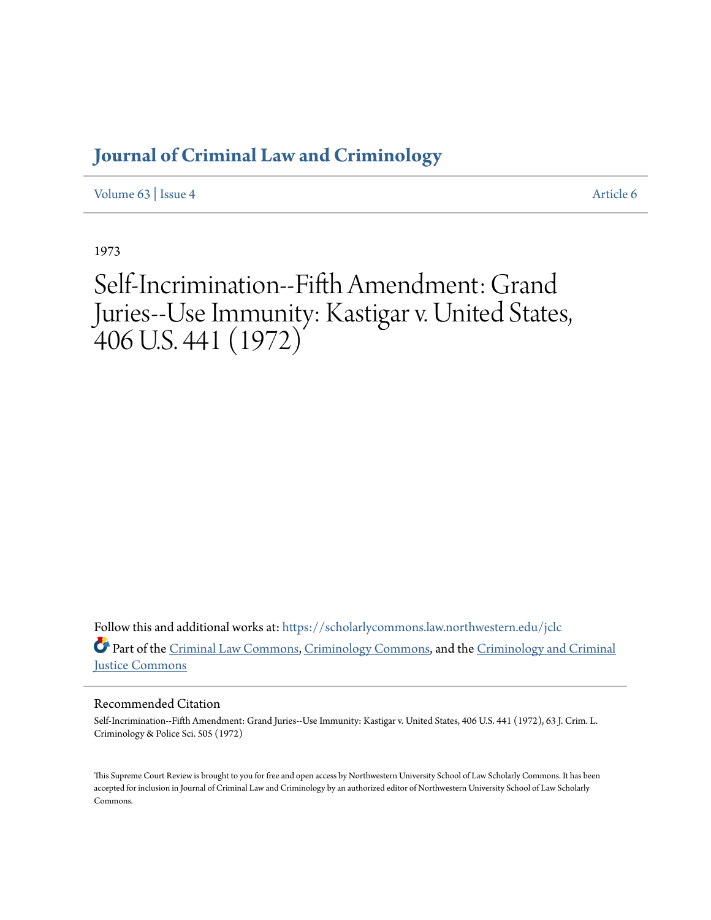# **[Journal of Criminal Law and Criminology](https://scholarlycommons.law.northwestern.edu/jclc?utm_source=scholarlycommons.law.northwestern.edu%2Fjclc%2Fvol63%2Fiss4%2F6&utm_medium=PDF&utm_campaign=PDFCoverPages)**

[Volume 63](https://scholarlycommons.law.northwestern.edu/jclc/vol63?utm_source=scholarlycommons.law.northwestern.edu%2Fjclc%2Fvol63%2Fiss4%2F6&utm_medium=PDF&utm_campaign=PDFCoverPages) | [Issue 4](https://scholarlycommons.law.northwestern.edu/jclc/vol63/iss4?utm_source=scholarlycommons.law.northwestern.edu%2Fjclc%2Fvol63%2Fiss4%2F6&utm_medium=PDF&utm_campaign=PDFCoverPages) [Article 6](https://scholarlycommons.law.northwestern.edu/jclc/vol63/iss4/6?utm_source=scholarlycommons.law.northwestern.edu%2Fjclc%2Fvol63%2Fiss4%2F6&utm_medium=PDF&utm_campaign=PDFCoverPages)

1973

Self-Incrimination--Fifth Amendment: Grand Juries--Use Immunity: Kastigar v. United States,  $406$  U.S. 441  $(1972)$ 

Follow this and additional works at: [https://scholarlycommons.law.northwestern.edu/jclc](https://scholarlycommons.law.northwestern.edu/jclc?utm_source=scholarlycommons.law.northwestern.edu%2Fjclc%2Fvol63%2Fiss4%2F6&utm_medium=PDF&utm_campaign=PDFCoverPages) Part of the [Criminal Law Commons](http://network.bepress.com/hgg/discipline/912?utm_source=scholarlycommons.law.northwestern.edu%2Fjclc%2Fvol63%2Fiss4%2F6&utm_medium=PDF&utm_campaign=PDFCoverPages), [Criminology Commons](http://network.bepress.com/hgg/discipline/417?utm_source=scholarlycommons.law.northwestern.edu%2Fjclc%2Fvol63%2Fiss4%2F6&utm_medium=PDF&utm_campaign=PDFCoverPages), and the [Criminology and Criminal](http://network.bepress.com/hgg/discipline/367?utm_source=scholarlycommons.law.northwestern.edu%2Fjclc%2Fvol63%2Fiss4%2F6&utm_medium=PDF&utm_campaign=PDFCoverPages) [Justice Commons](http://network.bepress.com/hgg/discipline/367?utm_source=scholarlycommons.law.northwestern.edu%2Fjclc%2Fvol63%2Fiss4%2F6&utm_medium=PDF&utm_campaign=PDFCoverPages)

# Recommended Citation

Self-Incrimination--Fifth Amendment: Grand Juries--Use Immunity: Kastigar v. United States, 406 U.S. 441 (1972), 63 J. Crim. L. Criminology & Police Sci. 505 (1972)

This Supreme Court Review is brought to you for free and open access by Northwestern University School of Law Scholarly Commons. It has been accepted for inclusion in Journal of Criminal Law and Criminology by an authorized editor of Northwestern University School of Law Scholarly Commons.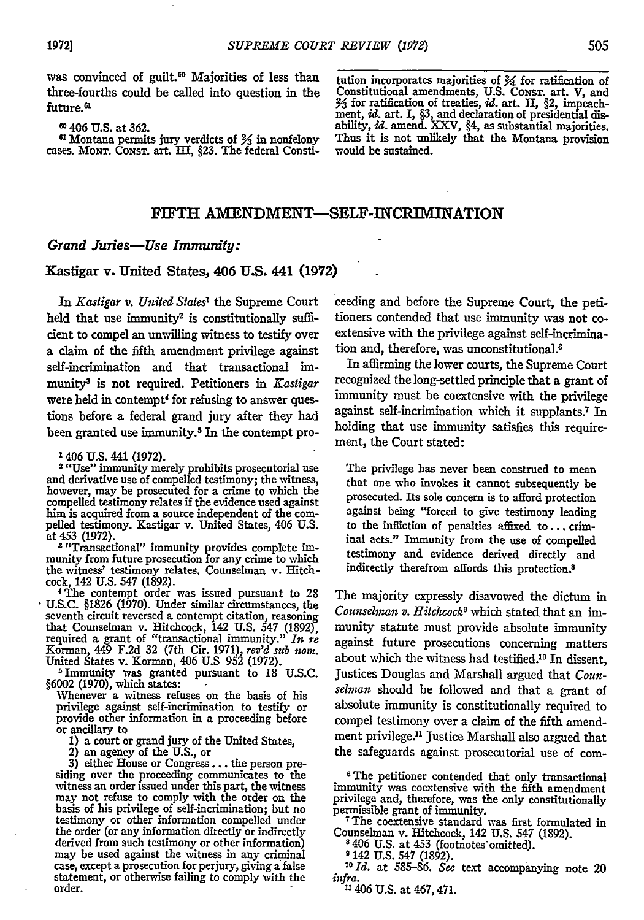was convinced of guilt.<sup>60</sup> Majorities of less than three-fourths could be called into question in the future.<sup>61</sup>

**60** 406 **U.S.** at **362.**

**<sup>61</sup>**Montana permits jury verdicts of **3** in nonfelony cases. MONT. CONST. art. 11I, **§23.** The federal Consti-

tution incorporates majorities of Y4 for ratification **of** Constitutional amendments, **U.S.** CONST. art. V, and Y3 for ratification of treaties, *id.* art. **II,** §2, impeachment, *id.* art. **1, §3,** and declaration of presidential dis-ability, *id.* amend. XXV, §4, as substantial majorities. Thus it is not unlikely that the Montana provision would be sustained.

## **FIFTH** AMENDMENT-SELF-INCRIMINATION

#### *Grand Juries-Use Immunity:*

### Kastigar v. United States, 406 **U.S. 441 (1972)**

*In Kastigar v. United States'* the Supreme Court held that use immunity<sup>2</sup> is constitutionally sufficient to compel an unwilling witness to testify over a claim of the fifth amendment privilege against self-incrimination and that transactional immunity3 is not required. Petitioners in *Kastigar* were held in contempt<sup>4</sup> for refusing to answer questions before a federal grand jury after they had been granted use immunity.<sup>5</sup> In the contempt pro-

2 "Use" immunity merely prohibits prosecutorial use and derivative use of compelled testimony; the witness, however, may be prosecuted for a crime to which the however, may be prosecuted for a crime to which the compelled testimony relates if the evidence used against him is acquired from a source independent of the compelled testimony. Kastigar v. United States, 406 U.S. at 453 (1972). **<sup>3</sup>**"Transactional" immunity provides complete **im-**

munity from future prosecution for any crime to which the witness' testimony relates. Counselman v. Hitchcock, 142 U.S. 547 (1892). 4The contempt order was issued pursuant to 28

U.S.C. §1826 (1970). Under similar circumstances, the seventh circuit reversed a contempt citation, reasoning<br>that Counselman v. Hitchcock, 142 U.S. 547 (1892),<br>required a grant of "transactional immunity." In re<br>Korman, 449 F.2d 32 (7th Cir. 1971), rev'd sub nom.<br>United Sta

5Immunity was granted pursuant to **18** U.S.C.

Whenever a witness refuses on the basis of his privilege against self-incrimination to testify or provide other information in a proceeding before or ancillary to a court or grand jury of the United States,

1) an agency of the U.S., or<br>
3) either House or Congress... the person pre-<br>
siding over the proceeding communicates to the witness an order issued under this part, the witness may not refuse to comply with the order on the basis of his privilege of self-incrimination; but no testimony or other information compelled under the order (or any information directly or indirectly derived from such testimony or other information) may be used against the witness in any criminal case, except a prosecution for perjury, giving a false statement, or otherwise falling to comply with the order.

ceeding and before the Supreme Court, the petitioners contended that use immunity was not coextensive with the privilege against self-incrimination and, therefore, was unconstitutional.'

In affirming the lower courts, the Supreme Court recognized the long-settled principle that a grant of immunity must be coextensive with the privilege against self-incrimination which it supplants.<sup>7</sup> In holding that use immunity satisfies this requirement, the Court stated:

The privilege has never been construed to mean that one who invokes it cannot subsequently be prosecuted. Its sole concern is to afford protection against being "forced to give testimony leading to the infliction of penalties affixed to... criminal acts." Immunity from the use of compelled testimony and evidence derived directly and indirectly therefrom affords this protection.8

The majority expressly disavowed the dictum in *Counselman v. Hitchcock'* which stated that an immunity statute must provide absolute immunity against future prosecutions concerning matters about which the witness had testified.<sup>10</sup> In dissent, Justices Douglas and Marshall argued that *Counselman* should be followed and that a grant of absolute immunity is constitutionally required to compel testimony over a claim of the fifth amendment privilege.<sup>11</sup> Justice Marshall also argued that the safeguards against prosecutorial use of com-

Counselman v. Hitchcock, 142 U.S. 547 (1892). **<sup>8</sup>**406 U.S. at 453 (footnotes'omitted).

<sup>8</sup> 406 U.S. at 453 (footnotes omitted).<br>**9 142 U.S. 547 (1892).** 

*1 0 Id.* at 585-86. *See* text accompanying note 20

*infra.*<br><sup>11</sup> 406 U.S. at 467, 471.

**<sup>&#</sup>x27;** 406 U.S. 441 **(1972).**

<sup>6</sup>The petitioner contended that only transactional immunity was coextensive with the fifth amendment privilege and, therefore, was the only constitutionally permissible grant of immunity.<br><sup>7</sup>The coextensive standard was first formulated in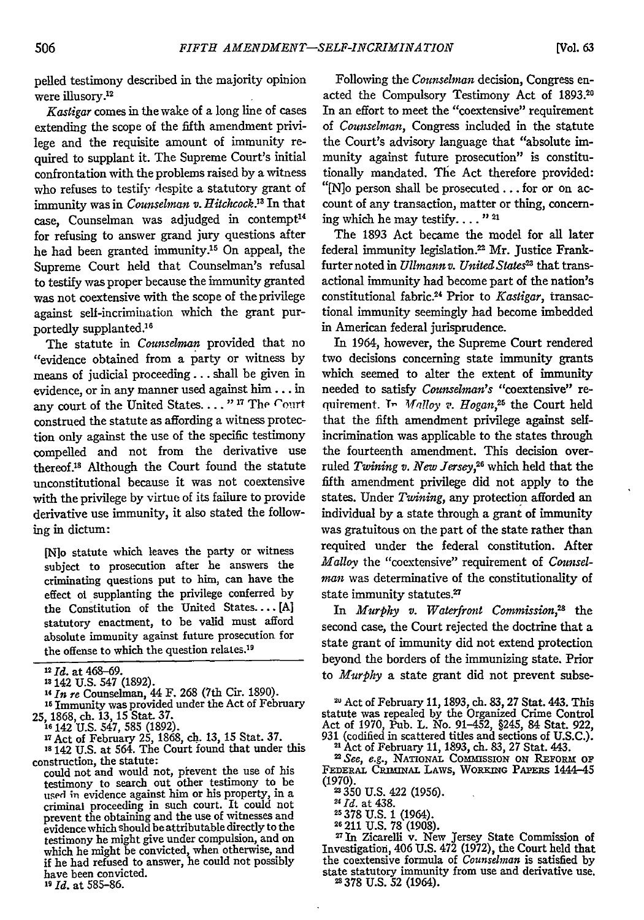pelled testimony described in the majority opinion were illusory.<sup>12</sup>

*Kastigar* comes in the wake of a long line of cases extending the scope of the fifth amendment privilege and the requisite amount of immunity required to supplant it. The Supreme Court's initial confrontation with the problems raised by a witness who refuses to testify despite a statutory grant of immunity was in *Counselman v. Hitchcock."* In that case, Counselman was adjudged in contempt<sup>14</sup> for refusing to answer grand jury questions after he had been granted immunity.<sup>15</sup> On appeal, the Supreme Court held that Counselman's refusal to testify was proper because the immunity granted was not coextensive with the scope of the privilege against self-incrimination which the grant purportedly supplanted.'<sup>6</sup>

The statute in *Counselman* provided that no "evidence obtained from a party or witness by means of judicial proceeding... shall be given in evidence, or in any manner used against him... in any court of the United States. . . . "<sup>17</sup> The Court construed the statute as affording a witness protection only against the use of the specific testimony compelled and not from the derivative use thereof.<sup>18</sup> Although the Court found the statute unconstitutional because it was not coextensive with the privilege by virtue of its failure to provide derivative use immunity, it also stated the following in dictum:

[N]o statute which leaves the party or witness subject to prosecution after he answers the criminating questions put to him, can have the effect ol supplanting the privilege conferred by the Constitution of the United States.... [A] statutory enactment, to be valid must afford absolute immunity against future prosecution for the offense to which the question relates.<sup>19</sup>

<sup>15</sup> Immunity was provided under the Act of February<br>25, 1868, ch. 13, 15 Stat. 37.<br><sup>15</sup> 142 U.S. 547, 585 (1892).<br><sup>17</sup> Act of February 25, 1868, ch. 13, 15 Stat. 37.<br><sup>17</sup> 442 U.S. at 564. The Court found that under this

- 
- 

construction, the statute:

could not and would not, prevent the use of his testimony to search out other testimony to be used in evidence against him or his property, in a criminal proceeding in such court. It could not prevent the obtaining and the use of witnesses and evidence which should be attributable directly to the testimony he might give under compulsion, and on which he might be convicted, when otherwise, and if he had refused to answer, he could not possibly have been convicted.

**<sup>19</sup>***Id.* at **585-86.**

Following the *Counselman* decision, Congress enacted the Compulsory Testimony Act of 1893.20 In an effort to meet the "coextensive" requirement of *Counselman,* Congress included in the statute the Court's advisory language that "absolute immunity against future prosecution" is constitutionally mandated. The Act therefore provided: "[N]o person shall be prosecuted.., for or on account of any transaction, matter or thing, concerning which he may testify...."<sup>21</sup>

The 1893 Act became the model for all later federal immunity legislation.<sup>22</sup> Mr. Justice Frankfurter noted in *Ullmann v. United States"* that transactional immunity had become part of the nation's constitutional fabric.24 Prior to *Kastigar,* transactional immunity seemingly had become imbedded in American federal jurisprudence.

In 1964, however, the Supreme Court rendered two decisions concerning state immunity grants which seemed to alter the extent of immunity needed to satisfy *Counselman's* "coextensive" requirement. In *Malloy v. Hogan*,<sup>25</sup> the Court held that the fifth amendment privilege against selfincrimination was applicable to the states through the fourteenth amendment. This decision overruled *Twining v. New Jersey,26* which held that the fifth amendment privilege did not apply to the states. Under *Twining,* any protection afforded an individual by a state through a grant of immunity was gratuitous on the part of the state rather than required under the federal constitution. After *Malloy* the "coextensive" requirement of *Counselman* was determinative of the constitutionality of state immunity statutes.<sup>27</sup>

In *Murphy v. Waterfront Commission*,<sup>28</sup> the second case, the Court rejected the doctrine that a state grant of immunity did not extend protection beyond the borders of the immunizing state. Prior to *Murphy* a state grant did not prevent subse-

<sup>20</sup> Act of February 11, 1893, ch. 83, 27 Stat. 443. This statute was repealed **by** the Organized Crime Control Act of **1970,** Pub. L. No. 91-452, §245, 84 Stat. **922, 931** (codified in scattered titles and sections of **U.S.C.).** " Act of February **11, 1893,** ch. **83, 27** Stat. 443.

22 *See, e.g.,* **NATIONAL** COMMSSION **ON** REFORM **OF** FEDERAL CRIMINAL LAWS, WORKING PAPERS 1444-45

**(1970).**

350 U.S. 422 (1956). *21Id.* at 438.

**5 378** U.S. 1 (1964). **<sup>26</sup>**211 U.S. **78** (1908). **2In** Zicarelli v. New Jersey State Commission of Investigation, 406 U.S. 472 (1972), the Court held that the coextensive formula of *Counsdman* is satisfied **by** state statutory immunity from use and derivative use. 378 U.S. 52 (1964).

<sup>2</sup> *Id.* at 468-69.

**<sup>3</sup>** 142 **U.S.** 547 **(1892).**

<sup>&</sup>lt;sup>14</sup> In re Counselman, 44 F. 268 (7th Cir. 1890).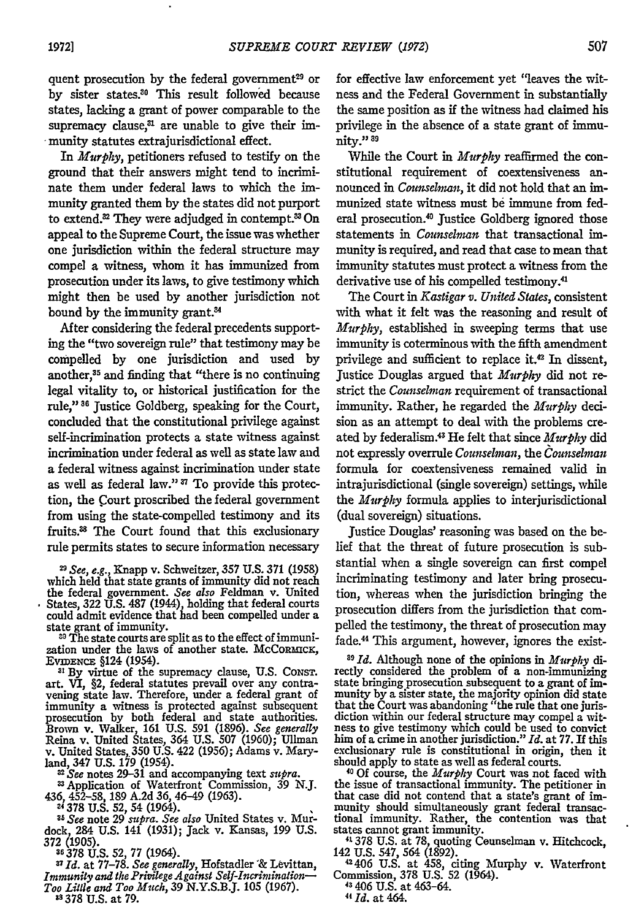quent prosecution by the federal government<sup>29</sup> or by sister states.<sup>30</sup> This result followed because states, lacking a grant of power comparable to the supremacy clause, $a$  are unable to give their immunity statutes extrajurisdictional effect.

In *Murphy,* petitioners refused to testify on the ground that their answers might tend to incriminate them under federal laws to which the immunity granted them by the states did not purport to extend.<sup>22</sup> They were adjudged in contempt.<sup>33</sup> On appeal to the Supreme Court, the issue was whether one jurisdiction within the federal structure may compel a witness, whom it has immunized from prosecution under its laws, to give testimony which might then be used by another jurisdiction not bound by the immunity grant. $34$ 

After considering the federal precedents supporting the "two sovereign rule" that testimony may be compelled by one jurisdiction and used by another,35 and finding that "there is no continuing legal vitality to, or historical justification for the rule,"<sup>36</sup> Justice Goldberg, speaking for the Court, concluded that the constitutional privilege against self-incrimination protects a state witness against incrimination under federal as well as state law and a federal witness against incrimination under state as well as federal law."<sup>37</sup> To provide this protection, the Court proscribed the federal government from using the state-compelled testimony and its fruits.88 The Court found that this exclusionary rule permits states to secure information necessary

**<sup>2</sup>**See, e.g., Knapp v. Schweitzer, **357** U.S. 371 (1958) which held that state grants of immunity did not reach the federal government. *See also* Feldman v. United States, 322 U.S. **487** (1944), holding that federal courts could admit evidence that had been compelled under a state grant of immunity.

**30** The state courts are split as to the effect of immunization under the laws of another state. McCoRMC.<br>EVIDENCE §124 (1954).

**2 By** virtue of the supremacy clause, U.S. CoNsT. art. VI, §2, federal statutes prevail over any contravening state law. Therefore, under a federal grant of immunity a witness is protected against subsequent prosecution by both federal and state authorities. Brown v. Walker, **161** U.S. 591 (1896). *See generally* Reina v. United States, 364 U.S. **507** (1960); Ullman v. United States 350 U.S. 422 (1956); Adams v. Mary-

1. MINI 347 U.S. 179 (1954).<br>
and, 347 U.S. 179 (1954).<br>
<sup>22</sup> See notes 29-31 and accompanying text *supra*.<br>
<sup>22</sup> See notes 29-31 and accompanying text *supra*.<br>
436, 452-58, 189 A.2d 36, 46-49 (1963).<br>
<sup>24</sup> 378 U.S. 52,

dock, 284 U.S. 141 (1931); Jack v. Kansas, 199 U.S. **372** (1905).

**36** 378 U.S. 52, **77** (1964). **<sup>7</sup>***Id.* at 77-78. *See generally,* Hofstadler "& Levittan, *Immunity and the Privilege Against Self-Incrimination-Too Little and Too Much,* **39** N.Y.S.B.J. **105 (1967). as378 U.S.** at **79.**

for effective law enforcement yet 'leaves the witness and the Federal Government in substantially the same position as if the witness had claimed his privilege in the absence of a state grant of immunity." **89**

While the Court in *Murphy* reaffirmed the constitutional requirement of coextensiveness announced in *Counselman*, it did not hold that an immunized state witness must be immune from federal prosecution.<sup>40</sup> Justice Goldberg ignored those statements in *Counselman* that transactional immunity is required, and read that case to mean that immunity statutes must protect a witness from the derivative use of his compelled testimony.<sup>41</sup>

The Court in *Kastigar v. United States,* consistent with what it felt was the reasoning and result of *Murphy,* established in sweeping terms that use immunity is coterminous with the fifth amendment privilege and sufficient to replace it.<sup>42</sup> In dissent, Justice Douglas argued that *Murphy* did not restrict the *Counselman* requirement of transactional immunity. Rather, he regarded the *Murphy* decision as an attempt to deal with the problems created by federalism.<sup>43</sup> He felt that since *Murphy* did not expressly overrule *Counselinan, the Counselinan* formula for coextensiveness remained valid in intrajurisdictional (single sovereign) settings, while the *Murphy* formula applies to interjurisdictional (dual sovereign) situations.

Justice Douglas' reasoning was based on the belief that the threat of future prosecution is substantial when a single sovereign can first compel incriminating testimony and later bring prosecution, whereas when the jurisdiction bringing the prosecution differs from the jurisdiction that compelled the testimony, the threat of prosecution may fade.44 This argument, however, ignores the exist-

*39 Id.* Although none of the opinions in *Murphy di*rectly considered the problem of a non-immunizing state bringing prosecution subsequent to a grant of immunity by a sister state, the majority opinion did state that the Court was abandoning "the rule that one juris- diction within our federal structure may compel a wit- ness to give testimony which could be used to convict hess to give testimony which could be used to convict<br>him of a crime in another jurisdiction." *Id.* at 77. If this exclusionary rule is constitutional in origin, then it should apply to state as well as federal courts.

**1 <sup>0</sup>Of** course, the *Murphy* Court was not faced with the issue of transactional immunity. The petitioner in that case did not contend that a state's grant of immunity should simultaneously grant federal transactional immunity. Rather, the contention was that states cannot grant immunity.<br>**41** 41378 U.S. at 78, quoting Ceunselman v. Hitchcock

142 U.S. 547, 564 (1892). <sup>42406</sup>**U.S.** at 458, citing Murphy v. Waterfront Commission, 378 U.S. 52 (1964).

**43** 406 U.S. at 463-64.

*11 Id.* at 464.